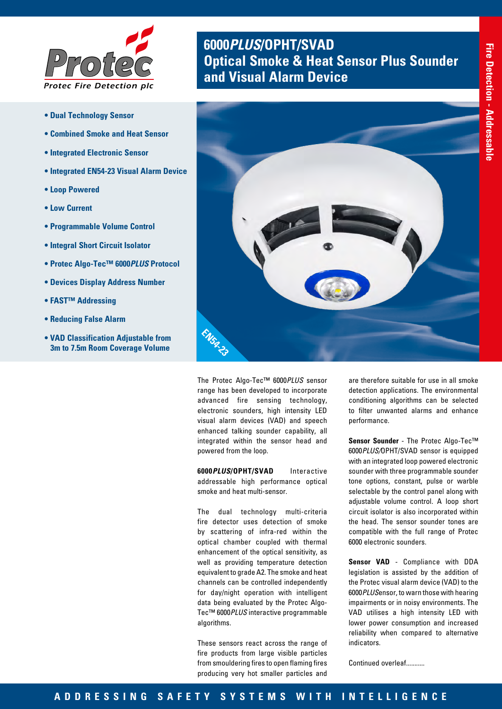

- **Dual Technology Sensor**
- **Combined Smoke and Heat Sensor**
- **Integrated Electronic Sensor**
- **Integrated EN54-23 Visual Alarm Device**
- **Loop Powered**
- **Low Current**
- **Programmable Volume Control**
- **Integral Short Circuit Isolator**
- **Protec Algo-Tec™ 6000***PLUS* **Protocol**
- **Devices Display Address Number**
- **FAST™ Addressing**
- **Reducing False Alarm**
- **VAD Classification Adjustable from 3m to 7.5m Room Coverage Volume**

# **6000***PLUS***/OPHT/SVAD Optical Smoke & Heat Sensor Plus Sounder** *and Visual Alarm Device*



The Protec Algo-Tec™ 6000*PLUS* sensor range has been developed to incorporate advanced fire sensing technology, electronic sounders, high intensity LED visual alarm devices (VAD) and speech enhanced talking sounder capability, all integrated within the sensor head and powered from the loop.

**6000***PLUS***/OPHT/SVAD** Interactive addressable high performance optical smoke and heat multi-sensor.

The dual technology multi-criteria fire detector uses detection of smoke by scattering of infra-red within the optical chamber coupled with thermal enhancement of the optical sensitivity, as well as providing temperature detection equivalent to grade A2. The smoke and heat channels can be controlled independently for day/night operation with intelligent data being evaluated by the Protec Algo-Tec™ 6000*PLUS* interactive programmable algorithms.

These sensors react across the range of fire products from large visible particles from smouldering fires to open flaming fires producing very hot smaller particles and

are therefore suitable for use in all smoke detection applications. The environmental conditioning algorithms can be selected to filter unwanted alarms and enhance performance.

**Sensor Sounder** - The Protec Algo-Tec™ 6000*PLUS/*OPHT/SVAD sensor is equipped with an integrated loop powered electronic sounder with three programmable sounder tone options, constant, pulse or warble selectable by the control panel along with adjustable volume control. A loop short circuit isolator is also incorporated within the head. The sensor sounder tones are compatible with the full range of Protec 6000 electronic sounders.

**Sensor VAD** - Compliance with DDA legislation is assisted by the addition of the Protec visual alarm device (VAD) to the 6000*PLUS*ensor, to warn those with hearing impairments or in noisy environments. The VAD utilises a high intensity LED with lower power consumption and increased reliability when compared to alternative indicators.

Continued overleaf...........